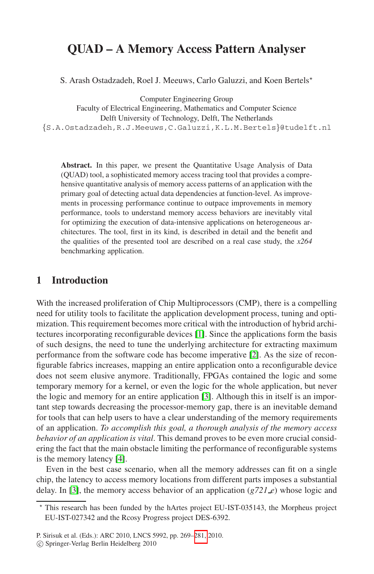# **QUAD – A Memory Access Pattern Analyser**

S. Arash Ostadzadeh, Roel J. Meeuws, Carlo Galuzzi, and Koen Bertels\*

Computer Engineering Group

Faculty of Electrical Engineering, Mathematics and Computer Science Delft University of Technology, Delft, The Netherlands *{*S.A.Ostadzadeh,R.J.Meeuws,C.Galuzzi,K.L.M.Bertels*}*@tudelft.nl

**Abstract.** In this paper, we present the Quantitative Usage Analysis of Data (QUAD) tool, a sophisticated memory access tracing tool that provides a comprehensive quantitative analysis of memory access patterns of an application with the primary goal of detecting actual data dependencies at function-level. As improvements in processing performance continue to outpace improvements in memory performance, tools to understand memory access behaviors are inevitably vital for optimizing the execution of data-intensive applications on heterogeneous architectures. The tool, first in its kind, is described in detail and the benefit and the qualities of the presented tool are described on a real case study, the *x264* benchmarking application.

### **1 Introduction**

With the increased proliferation of Chip Multiprocessors (CMP), there is a compelling need for utility tools to facilitate the application development process, tuning and optimization. This requirement becomes more critical with the introduction of hybrid architectures incorporating reconfigurable devices [\[1\]](#page-11-0). Since the applications form the basis of such designs, the need to tune the underlying architecture for extracting maximum performance from the software code has become imperative [\[2\]](#page-11-1). As the size of reconfigurable fabrics increases, mapping an entire application onto a reconfigurable device does not seem elusive anymore. Traditionally, FPGAs contained the logic and some temporary memory for a kernel, or even the logic for the whole application, but never the logic and memory for an entire application [\[3\]](#page-11-2). Although this in itself is an important step towards decreasing the processor-memory gap, there is an inevitable demand for tools that can help users to have a clear understanding of the memory requirements of an application. *To accomplish this goal, a thorough analysis of the memory access behavior of an application is vital*. This demand proves to be even more crucial considering the fact that the main obstacle limiting the performance of reconfigurable systems is the memory latency [\[4\]](#page-11-3).

Even in the best case scenario, when all the memory addresses can fit on a single chip, the latency to access memory locations from different parts imposes a substantial delay. In [\[3\]](#page-11-2), the memory access behavior of an application (*g721 e*) whose logic and

<sup>\*</sup> This research has been funded by the hArtes project EU-IST-035143, the Morpheus project EU-IST-027342 and the Rcosy Progress project DES-6392.

P. Sirisuk et al. (Eds.): ARC 2010, LNCS 5992, pp. 269–[281,](#page-12-0) 2010. -c Springer-Verlag Berlin Heidelberg 2010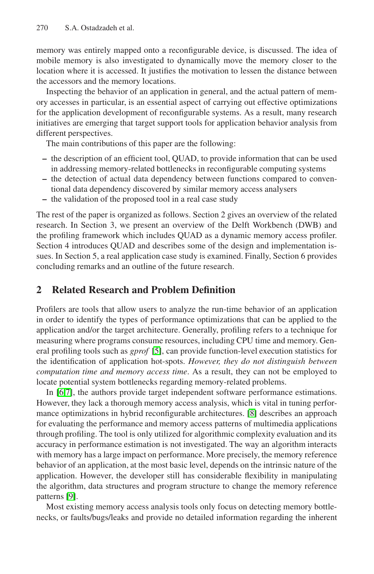memory was entirely mapped onto a reconfigurable device, is discussed. The idea of mobile memory is also investigated to dynamically move the memory closer to the location where it is accessed. It justifies the motivation to lessen the distance between the accessors and the memory locations.

Inspecting the behavior of an application in general, and the actual pattern of memory accesses in particular, is an essential aspect of carrying out effective optimizations for the application development of reconfigurable systems. As a result, many research initiatives are emerging that target support tools for application behavior analysis from different perspectives.

The main contributions of this paper are the following:

- **–** the description of an efficient tool, QUAD, to provide information that can be used in addressing memory-related bottlenecks in reconfigurable computing systems
- **–** the detection of actual data dependency between functions compared to conventional data dependency discovered by similar memory access analysers
- **–** the validation of the proposed tool in a real case study

The rest of the paper is organized as follows. Section 2 gives an overview of the related research. In Section 3, we present an overview of the Delft Workbench (DWB) and the profiling framework which includes QUAD as a dynamic memory access profiler. Section 4 introduces QUAD and describes some of the design and implementation issues. In Section 5, a real application case study is examined. Finally, Section 6 provides concluding remarks and an outline of the future research.

## **2 Related Research and Problem Definition**

Profilers are tools that allow users to analyze the run-time behavior of an application in order to identify the types of performance optimizations that can be applied to the application and/or the target architecture. Generally, profiling refers to a technique for measuring where programs consume resources, including CPU time and memory. General profiling tools such as *gprof* [\[5\]](#page-11-4), can provide function-level execution statistics for the identification of application hot-spots. *However, they do not distinguish between computation time and memory access time*. As a result, they can not be employed to locate potential system bottlenecks regarding memory-related problems.

In [\[6,](#page-11-5)[7\]](#page-11-6), the authors provide target independent software performance estimations. However, they lack a thorough memory access analysis, which is vital in tuning performance optimizations in hybrid reconfigurable architectures. [\[8\]](#page-11-7) describes an approach for evaluating the performance and memory access patterns of multimedia applications through profiling. The tool is only utilized for algorithmic complexity evaluation and its accuracy in performance estimation is not investigated. The way an algorithm interacts with memory has a large impact on performance. More precisely, the memory reference behavior of an application, at the most basic level, depends on the intrinsic nature of the application. However, the developer still has considerable flexibility in manipulating the algorithm, data structures and program structure to change the memory reference patterns [\[9\]](#page-11-8).

Most existing memory access analysis tools only focus on detecting memory bottlenecks, or faults/bugs/leaks and provide no detailed information regarding the inherent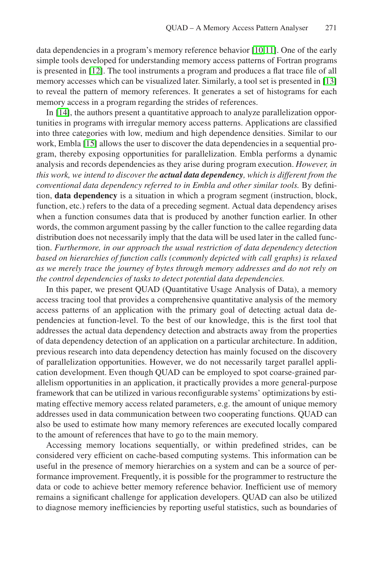data dependencies in a program's memory reference behavior [\[10,](#page-11-9)[11\]](#page-11-10). One of the early simple tools developed for understanding memory access patterns of Fortran programs is presented in [\[12\]](#page-12-1). The tool instruments a program and produces a flat trace file of all memory accesses which can be visualized later. Similarly, a tool set is presented in [\[13\]](#page-12-2) to reveal the pattern of memory references. It generates a set of histograms for each memory access in a program regarding the strides of references.

In [\[14\]](#page-12-3), the authors present a quantitative approach to analyze parallelization opportunities in programs with irregular memory access patterns. Applications are classified into three categories with low, medium and high dependence densities. Similar to our work, Embla [\[15\]](#page-12-4) allows the user to discover the data dependencies in a sequential program, thereby exposing opportunities for parallelization. Embla performs a dynamic analysis and records dependencies as they arise during program execution. *However, in this work, we intend to discover the actual data dependency, which is different from the conventional data dependency referred to in Embla and other similar tools.* By definition, **data dependency** is a situation in which a program segment (instruction, block, function, etc.) refers to the data of a preceding segment. Actual data dependency arises when a function consumes data that is produced by another function earlier. In other words, the common argument passing by the caller function to the callee regarding data distribution does not necessarily imply that the data will be used later in the called function. *Furthermore, in our approach the usual restriction of data dependency detection based on hierarchies of function calls (commonly depicted with call graphs) is relaxed as we merely trace the journey of bytes through memory addresses and do not rely on the control dependencies of tasks to detect potential data dependencies.*

In this paper, we present QUAD (Quantitative Usage Analysis of Data), a memory access tracing tool that provides a comprehensive quantitative analysis of the memory access patterns of an application with the primary goal of detecting actual data dependencies at function-level. To the best of our knowledge, this is the first tool that addresses the actual data dependency detection and abstracts away from the properties of data dependency detection of an application on a particular architecture. In addition, previous research into data dependency detection has mainly focused on the discovery of parallelization opportunities. However, we do not necessarily target parallel application development. Even though QUAD can be employed to spot coarse-grained parallelism opportunities in an application, it practically provides a more general-purpose framework that can be utilized in various reconfigurable systems' optimizations by estimating effective memory access related parameters, e.g. the amount of unique memory addresses used in data communication between two cooperating functions. QUAD can also be used to estimate how many memory references are executed locally compared to the amount of references that have to go to the main memory.

Accessing memory locations sequentially, or within predefined strides, can be considered very efficient on cache-based computing systems. This information can be useful in the presence of memory hierarchies on a system and can be a source of performance improvement. Frequently, it is possible for the programmer to restructure the data or code to achieve better memory reference behavior. Inefficient use of memory remains a significant challenge for application developers. QUAD can also be utilized to diagnose memory inefficiencies by reporting useful statistics, such as boundaries of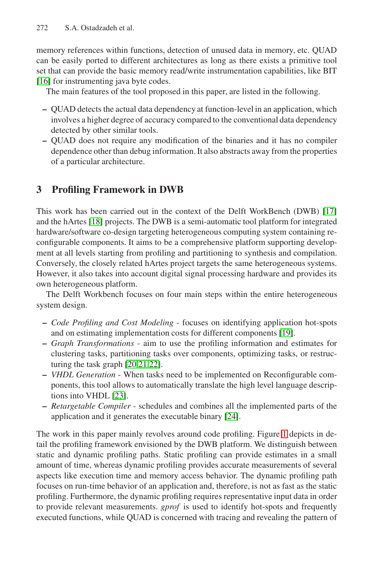memory references within functions, detection of unused data in memory, etc. QUAD can be easily ported to different architectures as long as there exists a primitive tool set that can provide the basic memory read/write instrumentation capabilities, like BIT [\[16\]](#page-12-5) for instrumenting java byte codes.

The main features of the tool proposed in this paper, are listed in the following.

- **–** QUAD detects the actual data dependency at function-level in an application, which involves a higher degree of accuracy compared to the conventional data dependency detected by other similar tools.
- **–** QUAD does not require any modification of the binaries and it has no compiler dependence other than debug information. It also abstracts away from the properties of a particular architecture.

# **3 Profiling Framework in DWB**

This work has been carried out in the context of the Delft WorkBench (DWB) [\[17\]](#page-12-6) and the hArtes [\[18\]](#page-12-7) projects. The DWB is a semi-automatic tool platform for integrated hardware/software co-design targeting heterogeneous computing system containing reconfigurable components. It aims to be a comprehensive platform supporting development at all levels starting from profiling and partitioning to synthesis and compilation. Conversely, the closely related hArtes project targets the same heterogeneous systems. However, it also takes into account digital signal processing hardware and provides its own heterogeneous platform.

The Delft Workbench focuses on four main steps within the entire heterogeneous system design.

- **–** *Code Profiling and Cost Modeling* focuses on identifying application hot-spots and on estimating implementation costs for different components [\[19\]](#page-12-8).
- **–** *Graph Transformations* aim to use the profiling information and estimates for clustering tasks, partitioning tasks over components, optimizing tasks, or restructuring the task graph [\[20,](#page-12-9)[21,](#page-12-10)[22\]](#page-12-11).
- **–** *VHDL Generation* When tasks need to be implemented on Reconfigurable components, this tool allows to automatically translate the high level language descriptions into VHDL [\[23\]](#page-12-12).
- **–** *Retargetable Compiler* schedules and combines all the implemented parts of the application and it generates the executable binary [\[24\]](#page-12-13).

The work in this paper mainly revolves around code profiling. Figure [1](#page-4-0) depicts in detail the profiling framework envisioned by the DWB platform. We distinguish between static and dynamic profiling paths. Static profiling can provide estimates in a small amount of time, whereas dynamic profiling provides accurate measurements of several aspects like execution time and memory access behavior. The dynamic profiling path focuses on run-time behavior of an application and, therefore, is not as fast as the static profiling. Furthermore, the dynamic profiling requires representative input data in order to provide relevant measurements. *gprof* is used to identify hot-spots and frequently executed functions, while QUAD is concerned with tracing and revealing the pattern of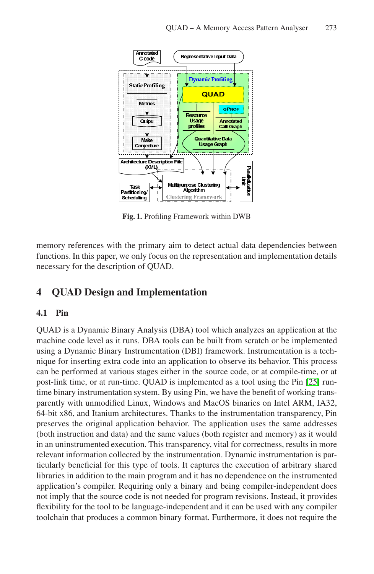

<span id="page-4-0"></span>**Fig. 1.** Profiling Framework within DWB

memory references with the primary aim to detect actual data dependencies between functions. In this paper, we only focus on the representation and implementation details necessary for the description of QUAD.

### **4 QUAD Design and Implementation**

#### **4.1 Pin**

QUAD is a Dynamic Binary Analysis (DBA) tool which analyzes an application at the machine code level as it runs. DBA tools can be built from scratch or be implemented using a Dynamic Binary Instrumentation (DBI) framework. Instrumentation is a technique for inserting extra code into an application to observe its behavior. This process can be performed at various stages either in the source code, or at compile-time, or at post-link time, or at run-time. QUAD is implemented as a tool using the Pin [\[25\]](#page-12-14) runtime binary instrumentation system. By using Pin, we have the benefit of working transparently with unmodified Linux, Windows and MacOS binaries on Intel ARM, IA32, 64-bit x86, and Itanium architectures. Thanks to the instrumentation transparency, Pin preserves the original application behavior. The application uses the same addresses (both instruction and data) and the same values (both register and memory) as it would in an uninstrumented execution. This transparency, vital for correctness, results in more relevant information collected by the instrumentation. Dynamic instrumentation is particularly beneficial for this type of tools. It captures the execution of arbitrary shared libraries in addition to the main program and it has no dependence on the instrumented application's compiler. Requiring only a binary and being compiler-independent does not imply that the source code is not needed for program revisions. Instead, it provides flexibility for the tool to be language-independent and it can be used with any compiler toolchain that produces a common binary format. Furthermore, it does not require the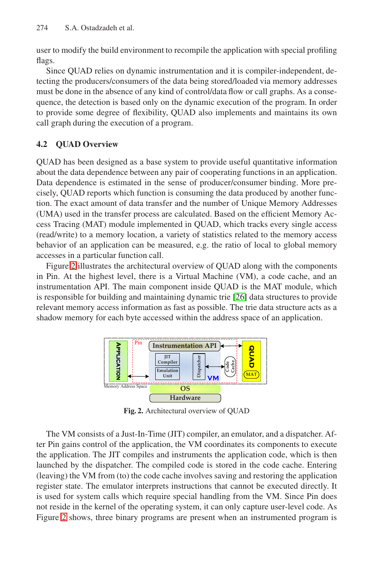user to modify the build environment to recompile the application with special profiling flags.

Since QUAD relies on dynamic instrumentation and it is compiler-independent, detecting the producers/consumers of the data being stored/loaded via memory addresses must be done in the absence of any kind of control/data flow or call graphs. As a consequence, the detection is based only on the dynamic execution of the program. In order to provide some degree of flexibility, QUAD also implements and maintains its own call graph during the execution of a program.

## **4.2 QUAD Overview**

QUAD has been designed as a base system to provide useful quantitative information about the data dependence between any pair of cooperating functions in an application. Data dependence is estimated in the sense of producer/consumer binding. More precisely, QUAD reports which function is consuming the data produced by another function. The exact amount of data transfer and the number of Unique Memory Addresses (UMA) used in the transfer process are calculated. Based on the efficient Memory Access Tracing (MAT) module implemented in QUAD, which tracks every single access (read/write) to a memory location, a variety of statistics related to the memory access behavior of an application can be measured, e.g. the ratio of local to global memory accesses in a particular function call.

Figure [2](#page-5-0) illustrates the architectural overview of QUAD along with the components in Pin. At the highest level, there is a Virtual Machine (VM), a code cache, and an instrumentation API. The main component inside QUAD is the MAT module, which is responsible for building and maintaining dynamic trie [\[26\]](#page-12-15) data structures to provide relevant memory access information as fast as possible. The trie data structure acts as a shadow memory for each byte accessed within the address space of an application.



<span id="page-5-0"></span>**Fig. 2.** Architectural overview of QUAD

The VM consists of a Just-In-Time (JIT) compiler, an emulator, and a dispatcher. After Pin gains control of the application, the VM coordinates its components to execute the application. The JIT compiles and instruments the application code, which is then launched by the dispatcher. The compiled code is stored in the code cache. Entering (leaving) the VM from (to) the code cache involves saving and restoring the application register state. The emulator interprets instructions that cannot be executed directly. It is used for system calls which require special handling from the VM. Since Pin does not reside in the kernel of the operating system, it can only capture user-level code. As Figure [2](#page-5-0) shows, three binary programs are present when an instrumented program is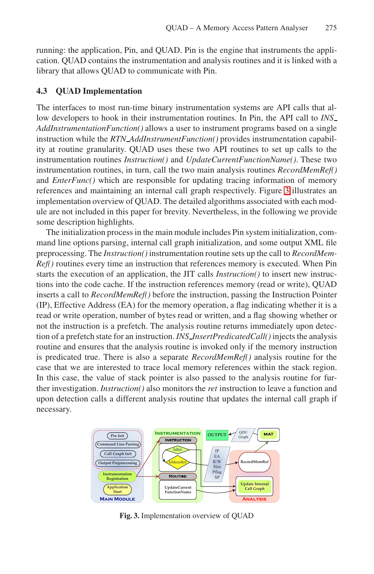running: the application, Pin, and QUAD. Pin is the engine that instruments the application. QUAD contains the instrumentation and analysis routines and it is linked with a library that allows QUAD to communicate with Pin.

#### **4.3 QUAD Implementation**

The interfaces to most run-time binary instrumentation systems are API calls that allow developers to hook in their instrumentation routines. In Pin, the API call to *INS AddInstrumentationFunction()* allows a user to instrument programs based on a single instruction while the *RTN AddInstrumentFunction()* provides instrumentation capability at routine granularity. QUAD uses these two API routines to set up calls to the instrumentation routines *Instruction()* and *UpdateCurrentFunctionName()*. These two instrumentation routines, in turn, call the two main analysis routines *RecordMemRef()* and *EnterFunc()* which are responsible for updating tracing information of memory references and maintaining an internal call graph respectively. Figure [3](#page-6-0) illustrates an implementation overview of QUAD. The detailed algorithms associated with each module are not included in this paper for brevity. Nevertheless, in the following we provide some description highlights.

The initialization process in the main module includes Pin system initialization, command line options parsing, internal call graph initialization, and some output XML file preprocessing. The *Instruction()* instrumentation routine sets up the call to *RecordMem-Ref()* routines every time an instruction that references memory is executed. When Pin starts the execution of an application, the JIT calls *Instruction()* to insert new instructions into the code cache. If the instruction references memory (read or write), QUAD inserts a call to *RecordMemRef()* before the instruction, passing the Instruction Pointer (IP), Effective Address (EA) for the memory operation, a flag indicating whether it is a read or write operation, number of bytes read or written, and a flag showing whether or not the instruction is a prefetch. The analysis routine returns immediately upon detection of a prefetch state for an instruction. *INS InsertPredicatedCall()* injects the analysis routine and ensures that the analysis routine is invoked only if the memory instruction is predicated true. There is also a separate *RecordMemRef()* analysis routine for the case that we are interested to trace local memory references within the stack region. In this case, the value of stack pointer is also passed to the analysis routine for further investigation. *Instruction()* also monitors the *ret* instruction to leave a function and upon detection calls a different analysis routine that updates the internal call graph if necessary.



<span id="page-6-0"></span>**Fig. 3.** Implementation overview of QUAD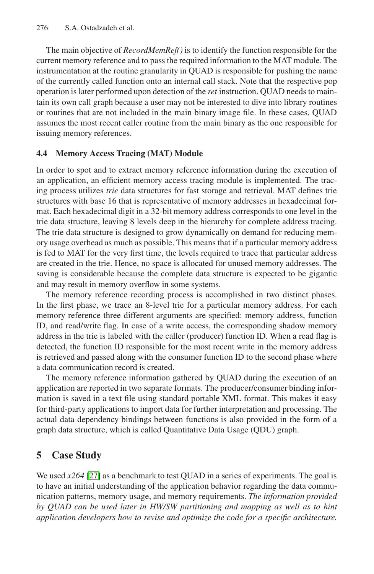The main objective of *RecordMemRef()* is to identify the function responsible for the current memory reference and to pass the required information to the MAT module. The instrumentation at the routine granularity in QUAD is responsible for pushing the name of the currently called function onto an internal call stack. Note that the respective pop operation is later performed upon detection of the *ret* instruction. QUAD needs to maintain its own call graph because a user may not be interested to dive into library routines or routines that are not included in the main binary image file. In these cases, QUAD assumes the most recent caller routine from the main binary as the one responsible for issuing memory references.

#### **4.4 Memory Access Tracing (MAT) Module**

In order to spot and to extract memory reference information during the execution of an application, an efficient memory access tracing module is implemented. The tracing process utilizes *trie* data structures for fast storage and retrieval. MAT defines trie structures with base 16 that is representative of memory addresses in hexadecimal format. Each hexadecimal digit in a 32-bit memory address corresponds to one level in the trie data structure, leaving 8 levels deep in the hierarchy for complete address tracing. The trie data structure is designed to grow dynamically on demand for reducing memory usage overhead as much as possible. This means that if a particular memory address is fed to MAT for the very first time, the levels required to trace that particular address are created in the trie. Hence, no space is allocated for unused memory addresses. The saving is considerable because the complete data structure is expected to be gigantic and may result in memory overflow in some systems.

The memory reference recording process is accomplished in two distinct phases. In the first phase, we trace an 8-level trie for a particular memory address. For each memory reference three different arguments are specified: memory address, function ID, and read/write flag. In case of a write access, the corresponding shadow memory address in the trie is labeled with the caller (producer) function ID. When a read flag is detected, the function ID responsible for the most recent write in the memory address is retrieved and passed along with the consumer function ID to the second phase where a data communication record is created.

The memory reference information gathered by QUAD during the execution of an application are reported in two separate formats. The producer/consumer binding information is saved in a text file using standard portable XML format. This makes it easy for third-party applications to import data for further interpretation and processing. The actual data dependency bindings between functions is also provided in the form of a graph data structure, which is called Quantitative Data Usage (QDU) graph.

## **5 Case Study**

We used *x*264<sup>[\[27\]](#page-12-16)</sup> as a benchmark to test QUAD in a series of experiments. The goal is to have an initial understanding of the application behavior regarding the data communication patterns, memory usage, and memory requirements. *The information provided by QUAD can be used later in HW/SW partitioning and mapping as well as to hint application developers how to revise and optimize the code for a specific architecture.*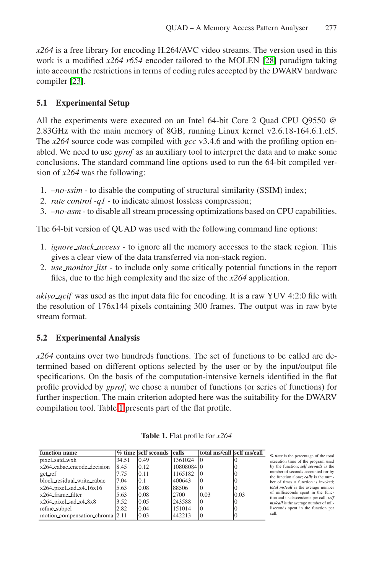*x264* is a free library for encoding H.264/AVC video streams. The version used in this work is a modified *x264 r654* encoder tailored to the MOLEN [\[28\]](#page-12-17) paradigm taking into account the restrictions in terms of coding rules accepted by the DWARV hardware compiler [\[23\]](#page-12-12).

### **5.1 Experimental Setup**

All the experiments were executed on an Intel 64-bit Core 2 Quad CPU Q9550 @ 2.83GHz with the main memory of 8GB, running Linux kernel v2.6.18-164.6.1.el5. The *x264* source code was compiled with *gcc* v3.4.6 and with the profiling option enabled. We need to use *gprof* as an auxiliary tool to interpret the data and to make some conclusions. The standard command line options used to run the 64-bit compiled version of *x264* was the following:

- 1. *–no-ssim* to disable the computing of structural similarity (SSIM) index;
- 2. *rate control -q1* to indicate almost lossless compression;
- 3. *–no-asm* to disable all stream processing optimizations based on CPU capabilities.

The 64-bit version of QUAD was used with the following command line options:

- 1. *ignore stack access* to ignore all the memory accesses to the stack region. This gives a clear view of the data transferred via non-stack region.
- 2. *use monitor list* to include only some critically potential functions in the report files, due to the high complexity and the size of the *x264* application.

*akiyo qcif* was used as the input data file for encoding. It is a raw YUV 4:2:0 file with the resolution of 176x144 pixels containing 300 frames. The output was in raw byte stream format.

#### **5.2 Experimental Analysis**

*x264* contains over two hundreds functions. The set of functions to be called are determined based on different options selected by the user or by the input/output file specifications. On the basis of the computation-intensive kernels identified in the flat profile provided by *gprof*, we chose a number of functions (or series of functions) for further inspection. The main criterion adopted here was the suitability for the DWARV compilation tool. Table [1](#page-8-0) presents part of the flat profile.

| function name                   |       | % time self seconds calls |            | total ms/call self ms/call |      | $q_i$                |
|---------------------------------|-------|---------------------------|------------|----------------------------|------|----------------------|
| pixel satd wxh                  | 34.51 | 0.49                      | 1361024    |                            |      | e:                   |
| x264 cabac encode decision      | 8.45  | 0.12                      | 10808084 0 |                            |      | b,                   |
| get ref                         | 7.75  | 0.11                      | 1165182    |                            |      | $\mathbf{n}$<br>th   |
| block residual write cabac      | 7.04  | 0.1                       | 400643     |                            |      | $\mathbf{b}$         |
| $x264$ pixel sad $x4$ 16 $x16$  | 5.63  | 0.08                      | 88506      |                            |      | to                   |
| x264 frame filter               | 5.63  | 0.08                      | 2700       | 0.03                       | 0.03 | O <sub>1</sub><br>ti |
| $x264$ pixel sad $x4.8x8$       | 3.52  | 0.05                      | 243588     | 0                          |      | $\overline{m}$       |
| refine subpel                   | 2.82  | 0.04                      | 151014     |                            |      | li                   |
| motion compensation chroma 2.11 |       | 0.03                      | 442213     |                            |      | C.                   |

<span id="page-8-0"></span>

| <b>Table 1.</b> Flat profile for $x264$ |  |  |  |  |
|-----------------------------------------|--|--|--|--|
|-----------------------------------------|--|--|--|--|

*time* is the percentage of the total execution time of the program used by the function; *self seconds* is the number of seconds accounted for by the function alone; *calls* is the number of times a function is invoked; *tal ms/call* is the average number milliseconds spent in the function and its descendants per call; *self ms/call* is the average number of milseconds spent in the function per call.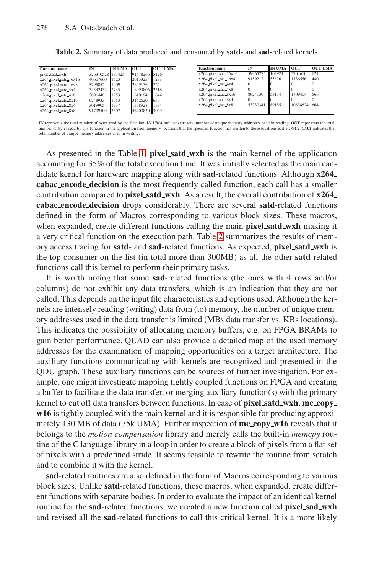| function name             | IN               | IN UMA | <b>OUT</b>    | <b>OUT UMA</b> | function name          |                          |          | <b>IN UMA</b> | OUT          | <b>OUT UMA</b> |
|---------------------------|------------------|--------|---------------|----------------|------------------------|--------------------------|----------|---------------|--------------|----------------|
| pixel satd wxh            | 326310528 137425 |        | 91578266 5126 |                |                        | $x264$ pixel sad $16x16$ | 59965275 | 103924        | 5704610      | 624            |
| $x264$ pixel satd $16x16$ | 40607660         | 1523   | 26133254 1233 |                |                        | x264 pixel sad 16x8      | 9159212  | 55626         | 1736556      | 480            |
| x264 pixel satd 16x8      | 5795852          | 1009   | 2849136       | 722            | $x264$ pixel sad $4x4$ |                          |          |               |              |                |
| x264 pixel satd 4x4       | 34342432         | 2745   | 18099806 2318 |                | $x264$ pixel sad $4x8$ |                          |          |               |              |                |
| $x264$ pixel satd $4x8$   | 3091448          | 1953   | 1610194       | 1644           |                        | $x264$ pixel sad $8x16$  | 8924130  | 53174         | 1709404      | 566            |
| $x264$ pixel satd $8x16$  | 6248933          | 1053   | 3152620       | 650            | $x264$ pixel sad $8x4$ |                          |          |               |              |                |
| x264 pixel satd 8x4       | 3019905          | 1937   | 1568928       | 1594           | $x264$ pixel sad $8x8$ |                          | 53730341 | 89155         | 10838624 664 |                |
| x264 pixel satd 8x8       | 91709500         | 3307   | 46203830      | 3049           |                        |                          |          |               |              |                |

<span id="page-9-0"></span>**Table 2.** Summary of data produced and consumed by **satd**- and **sad**-related kernels

*IN* represents the total number of bytes read by the function; *IN UMA* indicates the total number of unique memory addresses used in reading; *OUT* represents the total number of bytes read by any function in the application from memory locations that the specified function has written to those locations earlier; *OUT UMA* indicates the total number of unique memory addresses used in writing.

As presented in the Table [1,](#page-8-0) **pixel satd wxh** is the main kernel of the application accounting for 35% of the total execution time. It was initially selected as the main candidate kernel for hardware mapping along with **sad**-related functions. Although **x264 cabac encode decision** is the most frequently called function, each call has a smaller contribution compared to **pixel satd wxh**. As a result, the overall contribution of **x264 cabac encode decision** drops considerably. There are several **satd**-related functions defined in the form of Macros corresponding to various block sizes. These macros, when expanded, create different functions calling the main **pixel satd wxh** making it a very critical function on the execution path. Table [2](#page-9-0) summarizes the results of memory access tracing for **satd**- and **sad**-related functions. As expected, **pixel satd wxh** is the top consumer on the list (in total more than 300MB) as all the other **satd**-related functions call this kernel to perform their primary tasks.

It is worth noting that some **sad**-related functions (the ones with 4 rows and/or columns) do not exhibit any data transfers, which is an indication that they are not called. This depends on the input file characteristics and options used. Although the kernels are intensely reading (writing) data from (to) memory, the number of unique memory addresses used in the data transfer is limited (MBs data transfer vs. KBs locations). This indicates the possibility of allocating memory buffers, e.g. on FPGA BRAMs to gain better performance. QUAD can also provide a detailed map of the used memory addresses for the examination of mapping opportunities on a target architecture. The auxiliary functions communicating with kernels are recognized and presented in the QDU graph. These auxiliary functions can be sources of further investigation. For example, one might investigate mapping tightly coupled functions on FPGA and creating a buffer to facilitate the data transfer, or merging auxiliary function(s) with the primary kernel to cut off data transfers between functions. In case of **pixel satd wxh**, **mc copy w16** is tightly coupled with the main kernel and it is responsible for producing approximately 130 MB of data (75k UMA). Further inspection of **mc copy w16** reveals that it belongs to the *motion compensation* library and merely calls the built-in *memcpy* routine of the C language library in a loop in order to create a block of pixels from a flat set of pixels with a predefined stride. It seems feasible to rewrite the routine from scratch and to combine it with the kernel.

**sad**-related routines are also defined in the form of Macros corresponding to various block sizes. Unlike **satd**-related functions, these macros, when expanded, create different functions with separate bodies. In order to evaluate the impact of an identical kernel routine for the **sad**-related functions, we created a new function called **pixel sad wxh** and revised all the **sad**-related functions to call this critical kernel. It is a more likely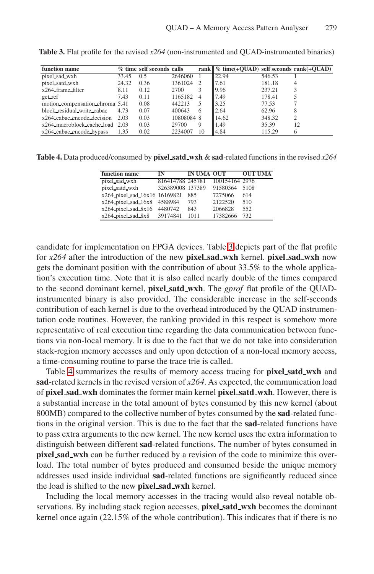| function name                   |       | % time self seconds calls |           |                | rank $\%$ time(+OUAD) self seconds rank(+OUAD) |        |    |
|---------------------------------|-------|---------------------------|-----------|----------------|------------------------------------------------|--------|----|
| pixel sad wxh                   | 33.45 | 0.5                       | 2646060   |                | 22.94                                          | 546.53 |    |
| pixel satd wxh                  | 24.32 | 0.36                      | 1361024   |                | 7.61                                           | 181.18 |    |
| x264_frame_filter               | 8.11  | 0.12                      | 2700      |                | 9.96                                           | 237.21 |    |
| get ref                         | 7.43  | 0.11                      | 1165182   | $\overline{4}$ | 7.49                                           | 178.41 |    |
| motion compensation chroma 5.41 |       | 0.08                      | 442213    |                | 3.25                                           | 77.53  |    |
| block residual write cabac      | 4.73  | 0.07                      | 400643    | 6              | 2.64                                           | 62.96  |    |
| x264_cabac_encode_decision      | 2.03  | 0.03                      | 108080848 |                | 14.62                                          | 348.32 |    |
| x264_macroblock_cache_load 2.03 |       | 0.03                      | 29700     | 9              | 1.49                                           | 35.39  | 12 |
| x264 cabac encode bypass        | 1.35  | 0.02                      | 2234007   | 10             | 4.84                                           | 115.29 |    |

<span id="page-10-0"></span>**Table 3.** Flat profile for the revised *x264* (non-instrumented and QUAD-instrumented binaries)

<span id="page-10-1"></span>**Table 4.** Data produced/consumed by **pixel satd wxh** & **sad**-related functions in the revised *x264*

| function name                 | IN               | IN UMA OUT |                | <b>OUT UMA</b> |
|-------------------------------|------------------|------------|----------------|----------------|
| pixel sad wxh                 | 816414788 245781 |            | 100154164 2976 |                |
| pixel satd wxh                | 326389008 137389 |            | 91580364       | 5108           |
| x264 pixel sad 16x16 16169821 |                  | 885        | 7275066        | 614            |
| x264 pixel_sad_16x8 4588984   |                  | 793        | 2122520        | 510            |
| x264 pixel sad 8x16 4480742   |                  | 843        | 2066828        | 552            |
| $x264$ pixel sad $8x8$        | 39174841         | 1011       | 17382666       | 732            |

candidate for implementation on FPGA devices. Table [3](#page-10-0) depicts part of the flat profile for *x264* after the introduction of the new **pixel sad wxh** kernel. **pixel sad wxh** now gets the dominant position with the contribution of about 33.5% to the whole application's execution time. Note that it is also called nearly double of the times compared to the second dominant kernel, **pixel satd wxh**. The *gprof* flat profile of the QUADinstrumented binary is also provided. The considerable increase in the self-seconds contribution of each kernel is due to the overhead introduced by the QUAD instrumentation code routines. However, the ranking provided in this respect is somehow more representative of real execution time regarding the data communication between functions via non-local memory. It is due to the fact that we do not take into consideration stack-region memory accesses and only upon detection of a non-local memory access, a time-consuming routine to parse the trace trie is called.

Table [4](#page-10-1) summarizes the results of memory access tracing for **pixel satd wxh** and **sad**-related kernels in the revised version of *x264*. As expected, the communication load of **pixel sad wxh** dominates the former main kernel **pixel satd wxh**. However, there is a substantial increase in the total amount of bytes consumed by this new kernel (about 800MB) compared to the collective number of bytes consumed by the **sad**-related functions in the original version. This is due to the fact that the **sad**-related functions have to pass extra arguments to the new kernel. The new kernel uses the extra information to distinguish between different **sad**-related functions. The number of bytes consumed in **pixel sad wxh** can be further reduced by a revision of the code to minimize this overload. The total number of bytes produced and consumed beside the unique memory addresses used inside individual **sad**-related functions are significantly reduced since the load is shifted to the new **pixel sad wxh** kernel.

Including the local memory accesses in the tracing would also reveal notable observations. By including stack region accesses, **pixel satd wxh** becomes the dominant kernel once again (22.15% of the whole contribution). This indicates that if there is no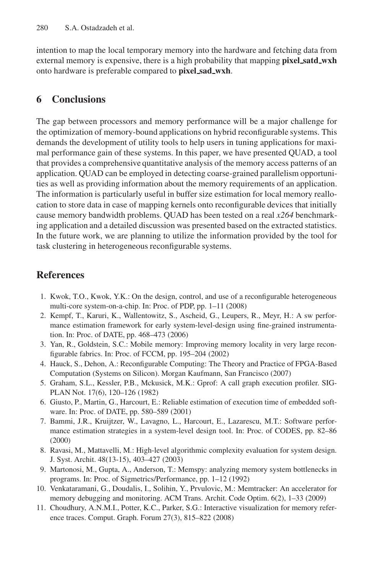intention to map the local temporary memory into the hardware and fetching data from external memory is expensive, there is a high probability that mapping **pixel satd wxh** onto hardware is preferable compared to **pixel sad wxh**.

## **6 Conclusions**

The gap between processors and memory performance will be a major challenge for the optimization of memory-bound applications on hybrid reconfigurable systems. This demands the development of utility tools to help users in tuning applications for maximal performance gain of these systems. In this paper, we have presented QUAD, a tool that provides a comprehensive quantitative analysis of the memory access patterns of an application. QUAD can be employed in detecting coarse-grained parallelism opportunities as well as providing information about the memory requirements of an application. The information is particularly useful in buffer size estimation for local memory reallocation to store data in case of mapping kernels onto reconfigurable devices that initially cause memory bandwidth problems. QUAD has been tested on a real *x264* benchmarking application and a detailed discussion was presented based on the extracted statistics. In the future work, we are planning to utilize the information provided by the tool for task clustering in heterogeneous reconfigurable systems.

## **References**

- <span id="page-11-0"></span>1. Kwok, T.O., Kwok, Y.K.: On the design, control, and use of a reconfigurable heterogeneous multi-core system-on-a-chip. In: Proc. of PDP, pp. 1–11 (2008)
- <span id="page-11-1"></span>2. Kempf, T., Karuri, K., Wallentowitz, S., Ascheid, G., Leupers, R., Meyr, H.: A sw performance estimation framework for early system-level-design using fine-grained instrumentation. In: Proc. of DATE, pp. 468–473 (2006)
- <span id="page-11-2"></span>3. Yan, R., Goldstein, S.C.: Mobile memory: Improving memory locality in very large reconfigurable fabrics. In: Proc. of FCCM, pp. 195–204 (2002)
- <span id="page-11-3"></span>4. Hauck, S., Dehon, A.: Reconfigurable Computing: The Theory and Practice of FPGA-Based Computation (Systems on Silicon). Morgan Kaufmann, San Francisco (2007)
- <span id="page-11-4"></span>5. Graham, S.L., Kessler, P.B., Mckusick, M.K.: Gprof: A call graph execution profiler. SIG-PLAN Not. 17(6), 120–126 (1982)
- <span id="page-11-5"></span>6. Giusto, P., Martin, G., Harcourt, E.: Reliable estimation of execution time of embedded software. In: Proc. of DATE, pp. 580–589 (2001)
- <span id="page-11-6"></span>7. Bammi, J.R., Kruijtzer, W., Lavagno, L., Harcourt, E., Lazarescu, M.T.: Software performance estimation strategies in a system-level design tool. In: Proc. of CODES, pp. 82–86 (2000)
- <span id="page-11-7"></span>8. Ravasi, M., Mattavelli, M.: High-level algorithmic complexity evaluation for system design. J. Syst. Archit. 48(13-15), 403–427 (2003)
- <span id="page-11-8"></span>9. Martonosi, M., Gupta, A., Anderson, T.: Memspy: analyzing memory system bottlenecks in programs. In: Proc. of Sigmetrics/Performance, pp. 1–12 (1992)
- <span id="page-11-9"></span>10. Venkataramani, G., Doudalis, I., Solihin, Y., Prvulovic, M.: Memtracker: An accelerator for memory debugging and monitoring. ACM Trans. Archit. Code Optim. 6(2), 1–33 (2009)
- <span id="page-11-10"></span>11. Choudhury, A.N.M.I., Potter, K.C., Parker, S.G.: Interactive visualization for memory reference traces. Comput. Graph. Forum 27(3), 815–822 (2008)